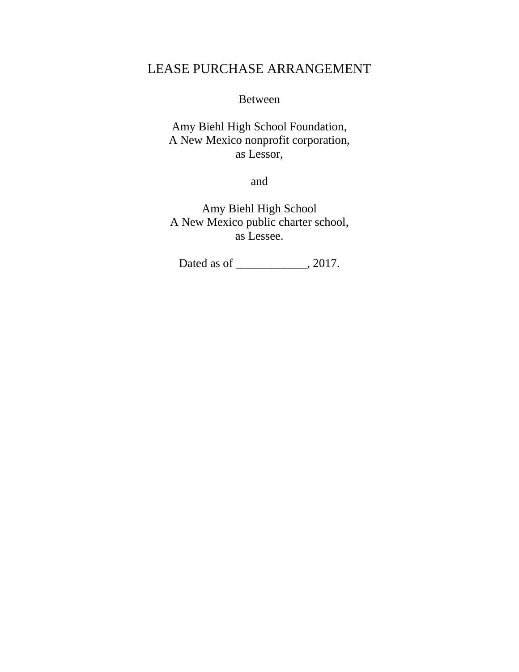# LEASE PURCHASE ARRANGEMENT

Between

Amy Biehl High School Foundation, A New Mexico nonprofit corporation, as Lessor,

and

Amy Biehl High School A New Mexico public charter school, as Lessee.

Dated as of \_\_\_\_\_\_\_\_\_\_\_\_, 2017.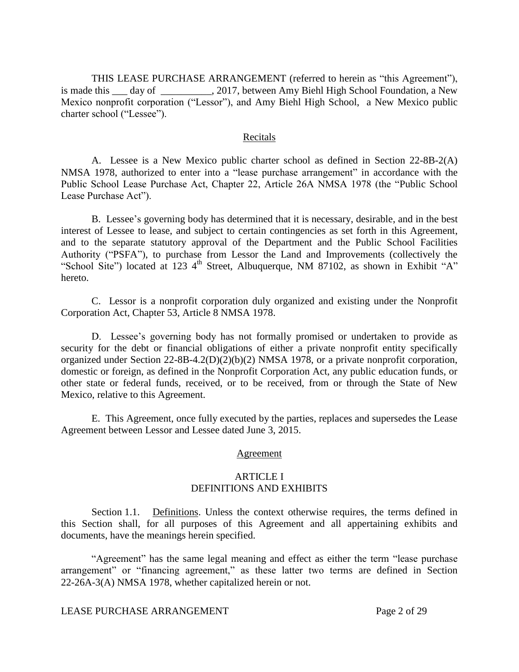THIS LEASE PURCHASE ARRANGEMENT (referred to herein as "this Agreement"), is made this \_\_\_ day of \_\_\_\_\_\_\_\_\_, 2017, between Amy Biehl High School Foundation, a New Mexico nonprofit corporation ("Lessor"), and Amy Biehl High School, a New Mexico public charter school ("Lessee").

### Recitals

A. Lessee is a New Mexico public charter school as defined in Section 22-8B-2(A) NMSA 1978, authorized to enter into a "lease purchase arrangement" in accordance with the Public School Lease Purchase Act, Chapter 22, Article 26A NMSA 1978 (the "Public School Lease Purchase Act").

B. Lessee's governing body has determined that it is necessary, desirable, and in the best interest of Lessee to lease, and subject to certain contingencies as set forth in this Agreement, and to the separate statutory approval of the Department and the Public School Facilities Authority ("PSFA"), to purchase from Lessor the Land and Improvements (collectively the "School Site") located at 123 4<sup>th</sup> Street, Albuquerque, NM 87102, as shown in Exhibit "A" hereto.

C. Lessor is a nonprofit corporation duly organized and existing under the Nonprofit Corporation Act, Chapter 53, Article 8 NMSA 1978.

D. Lessee's governing body has not formally promised or undertaken to provide as security for the debt or financial obligations of either a private nonprofit entity specifically organized under Section 22-8B-4.2(D)(2)(b)(2) NMSA 1978, or a private nonprofit corporation, domestic or foreign, as defined in the Nonprofit Corporation Act, any public education funds, or other state or federal funds, received, or to be received, from or through the State of New Mexico, relative to this Agreement.

E. This Agreement, once fully executed by the parties, replaces and supersedes the Lease Agreement between Lessor and Lessee dated June 3, 2015.

#### Agreement

## ARTICLE I DEFINITIONS AND EXHIBITS

Section 1.1. Definitions. Unless the context otherwise requires, the terms defined in this Section shall, for all purposes of this Agreement and all appertaining exhibits and documents, have the meanings herein specified.

"Agreement" has the same legal meaning and effect as either the term "lease purchase arrangement" or "financing agreement," as these latter two terms are defined in Section 22-26A-3(A) NMSA 1978, whether capitalized herein or not.

LEASE PURCHASE ARRANGEMENT Page 2 of 29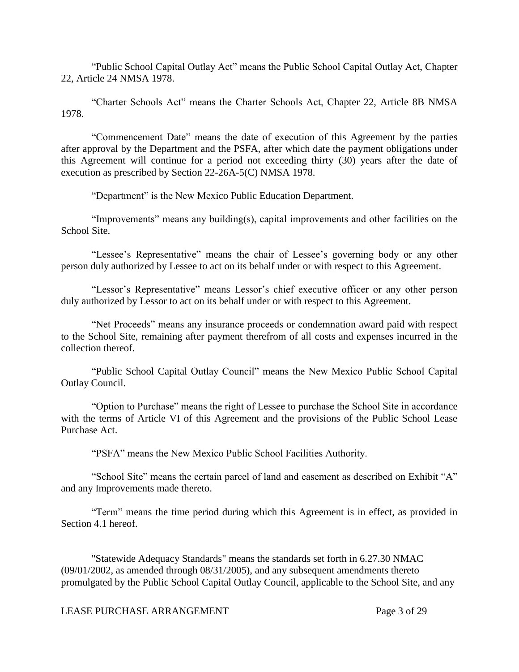"Public School Capital Outlay Act" means the Public School Capital Outlay Act, Chapter 22, Article 24 NMSA 1978.

"Charter Schools Act" means the Charter Schools Act, Chapter 22, Article 8B NMSA 1978.

"Commencement Date" means the date of execution of this Agreement by the parties after approval by the Department and the PSFA, after which date the payment obligations under this Agreement will continue for a period not exceeding thirty (30) years after the date of execution as prescribed by Section 22-26A-5(C) NMSA 1978.

"Department" is the New Mexico Public Education Department.

"Improvements" means any building(s), capital improvements and other facilities on the School Site.

"Lessee's Representative" means the chair of Lessee's governing body or any other person duly authorized by Lessee to act on its behalf under or with respect to this Agreement.

"Lessor's Representative" means Lessor's chief executive officer or any other person duly authorized by Lessor to act on its behalf under or with respect to this Agreement.

"Net Proceeds" means any insurance proceeds or condemnation award paid with respect to the School Site, remaining after payment therefrom of all costs and expenses incurred in the collection thereof.

"Public School Capital Outlay Council" means the New Mexico Public School Capital Outlay Council.

"Option to Purchase" means the right of Lessee to purchase the School Site in accordance with the terms of Article VI of this Agreement and the provisions of the Public School Lease Purchase Act.

"PSFA" means the New Mexico Public School Facilities Authority.

"School Site" means the certain parcel of land and easement as described on Exhibit "A" and any Improvements made thereto.

"Term" means the time period during which this Agreement is in effect, as provided in Section 4.1 hereof.

"Statewide Adequacy Standards" means the standards set forth in 6.27.30 NMAC (09/01/2002, as amended through 08/31/2005), and any subsequent amendments thereto promulgated by the Public School Capital Outlay Council, applicable to the School Site, and any

# LEASE PURCHASE ARRANGEMENT Page 3 of 29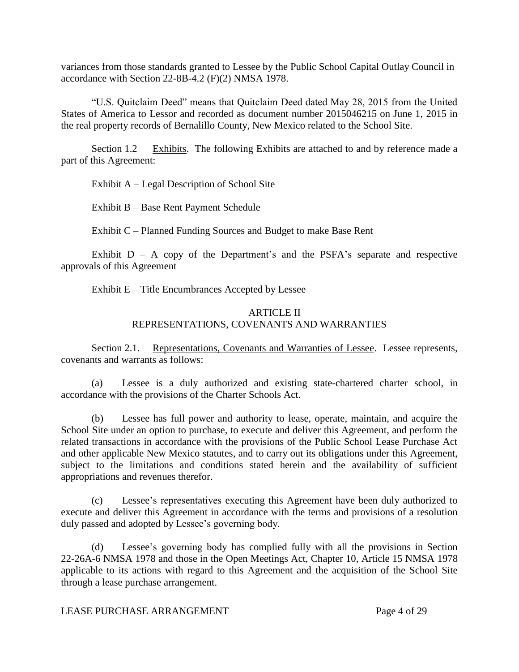variances from those standards granted to Lessee by the Public School Capital Outlay Council in accordance with Section 22-8B-4.2 (F)(2) NMSA 1978.

"U.S. Quitclaim Deed" means that Quitclaim Deed dated May 28, 2015 from the United States of America to Lessor and recorded as document number 2015046215 on June 1, 2015 in the real property records of Bernalillo County, New Mexico related to the School Site.

Section 1.2 Exhibits. The following Exhibits are attached to and by reference made a part of this Agreement:

Exhibit A – Legal Description of School Site

Exhibit B – Base Rent Payment Schedule

Exhibit C – Planned Funding Sources and Budget to make Base Rent

Exhibit  $D - A$  copy of the Department's and the PSFA's separate and respective approvals of this Agreement

Exhibit E – Title Encumbrances Accepted by Lessee

# ARTICLE II REPRESENTATIONS, COVENANTS AND WARRANTIES

Section 2.1. Representations, Covenants and Warranties of Lessee. Lessee represents, covenants and warrants as follows:

(a) Lessee is a duly authorized and existing state-chartered charter school, in accordance with the provisions of the Charter Schools Act.

(b) Lessee has full power and authority to lease, operate, maintain, and acquire the School Site under an option to purchase, to execute and deliver this Agreement, and perform the related transactions in accordance with the provisions of the Public School Lease Purchase Act and other applicable New Mexico statutes, and to carry out its obligations under this Agreement, subject to the limitations and conditions stated herein and the availability of sufficient appropriations and revenues therefor.

(c) Lessee's representatives executing this Agreement have been duly authorized to execute and deliver this Agreement in accordance with the terms and provisions of a resolution duly passed and adopted by Lessee's governing body.

(d) Lessee's governing body has complied fully with all the provisions in Section 22-26A-6 NMSA 1978 and those in the Open Meetings Act, Chapter 10, Article 15 NMSA 1978 applicable to its actions with regard to this Agreement and the acquisition of the School Site through a lease purchase arrangement.

LEASE PURCHASE ARRANGEMENT Page 4 of 29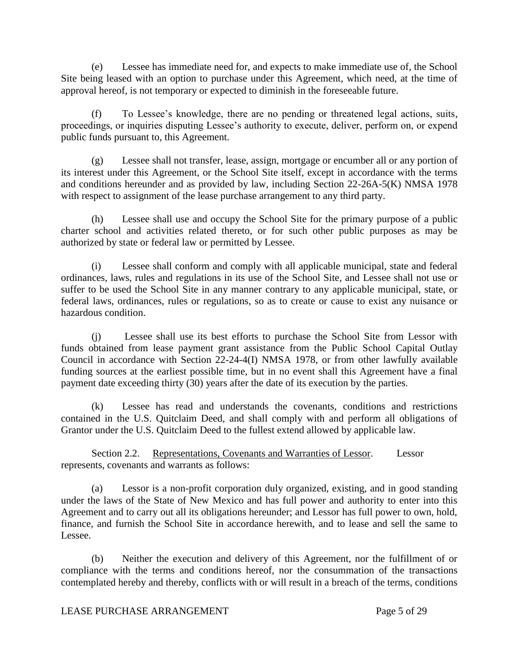(e) Lessee has immediate need for, and expects to make immediate use of, the School Site being leased with an option to purchase under this Agreement, which need, at the time of approval hereof, is not temporary or expected to diminish in the foreseeable future.

(f) To Lessee's knowledge, there are no pending or threatened legal actions, suits, proceedings, or inquiries disputing Lessee's authority to execute, deliver, perform on, or expend public funds pursuant to, this Agreement.

(g) Lessee shall not transfer, lease, assign, mortgage or encumber all or any portion of its interest under this Agreement, or the School Site itself, except in accordance with the terms and conditions hereunder and as provided by law, including Section 22-26A-5(K) NMSA 1978 with respect to assignment of the lease purchase arrangement to any third party.

(h) Lessee shall use and occupy the School Site for the primary purpose of a public charter school and activities related thereto, or for such other public purposes as may be authorized by state or federal law or permitted by Lessee.

(i) Lessee shall conform and comply with all applicable municipal, state and federal ordinances, laws, rules and regulations in its use of the School Site, and Lessee shall not use or suffer to be used the School Site in any manner contrary to any applicable municipal, state, or federal laws, ordinances, rules or regulations, so as to create or cause to exist any nuisance or hazardous condition.

(j) Lessee shall use its best efforts to purchase the School Site from Lessor with funds obtained from lease payment grant assistance from the Public School Capital Outlay Council in accordance with Section 22-24-4(I) NMSA 1978, or from other lawfully available funding sources at the earliest possible time, but in no event shall this Agreement have a final payment date exceeding thirty (30) years after the date of its execution by the parties.

(k) Lessee has read and understands the covenants, conditions and restrictions contained in the U.S. Quitclaim Deed, and shall comply with and perform all obligations of Grantor under the U.S. Quitclaim Deed to the fullest extend allowed by applicable law.

Section 2.2. Representations, Covenants and Warranties of Lessor. Lessor represents, covenants and warrants as follows:

(a) Lessor is a non-profit corporation duly organized, existing, and in good standing under the laws of the State of New Mexico and has full power and authority to enter into this Agreement and to carry out all its obligations hereunder; and Lessor has full power to own, hold, finance, and furnish the School Site in accordance herewith, and to lease and sell the same to Lessee.

(b) Neither the execution and delivery of this Agreement, nor the fulfillment of or compliance with the terms and conditions hereof, nor the consummation of the transactions contemplated hereby and thereby, conflicts with or will result in a breach of the terms, conditions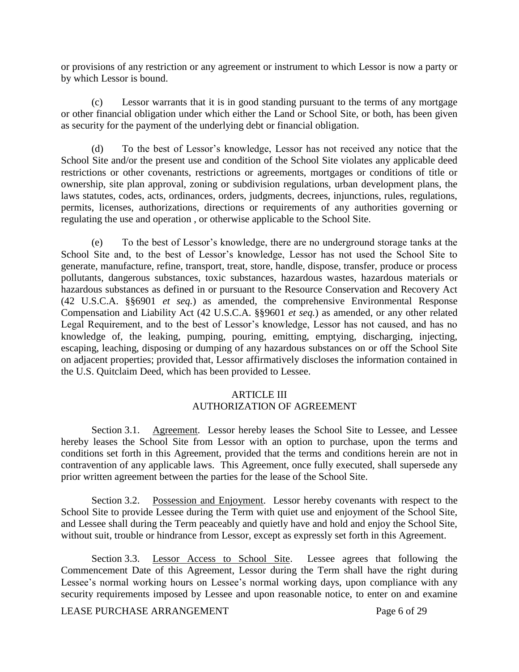or provisions of any restriction or any agreement or instrument to which Lessor is now a party or by which Lessor is bound.

(c) Lessor warrants that it is in good standing pursuant to the terms of any mortgage or other financial obligation under which either the Land or School Site, or both, has been given as security for the payment of the underlying debt or financial obligation.

(d) To the best of Lessor's knowledge, Lessor has not received any notice that the School Site and/or the present use and condition of the School Site violates any applicable deed restrictions or other covenants, restrictions or agreements, mortgages or conditions of title or ownership, site plan approval, zoning or subdivision regulations, urban development plans, the laws statutes, codes, acts, ordinances, orders, judgments, decrees, injunctions, rules, regulations, permits, licenses, authorizations, directions or requirements of any authorities governing or regulating the use and operation , or otherwise applicable to the School Site.

(e) To the best of Lessor's knowledge, there are no underground storage tanks at the School Site and, to the best of Lessor's knowledge, Lessor has not used the School Site to generate, manufacture, refine, transport, treat, store, handle, dispose, transfer, produce or process pollutants, dangerous substances, toxic substances, hazardous wastes, hazardous materials or hazardous substances as defined in or pursuant to the Resource Conservation and Recovery Act (42 U.S.C.A. §§6901 *et seq.*) as amended, the comprehensive Environmental Response Compensation and Liability Act (42 U.S.C.A. §§9601 *et seq.*) as amended, or any other related Legal Requirement, and to the best of Lessor's knowledge, Lessor has not caused, and has no knowledge of, the leaking, pumping, pouring, emitting, emptying, discharging, injecting, escaping, leaching, disposing or dumping of any hazardous substances on or off the School Site on adjacent properties; provided that, Lessor affirmatively discloses the information contained in the U.S. Quitclaim Deed, which has been provided to Lessee.

# ARTICLE III AUTHORIZATION OF AGREEMENT

Section 3.1. Agreement. Lessor hereby leases the School Site to Lessee, and Lessee hereby leases the School Site from Lessor with an option to purchase, upon the terms and conditions set forth in this Agreement, provided that the terms and conditions herein are not in contravention of any applicable laws. This Agreement, once fully executed, shall supersede any prior written agreement between the parties for the lease of the School Site.

Section 3.2. Possession and Enjoyment. Lessor hereby covenants with respect to the School Site to provide Lessee during the Term with quiet use and enjoyment of the School Site, and Lessee shall during the Term peaceably and quietly have and hold and enjoy the School Site, without suit, trouble or hindrance from Lessor, except as expressly set forth in this Agreement.

Section 3.3. Lessor Access to School Site. Lessee agrees that following the Commencement Date of this Agreement, Lessor during the Term shall have the right during Lessee's normal working hours on Lessee's normal working days, upon compliance with any security requirements imposed by Lessee and upon reasonable notice, to enter on and examine

LEASE PURCHASE ARRANGEMENT Page 6 of 29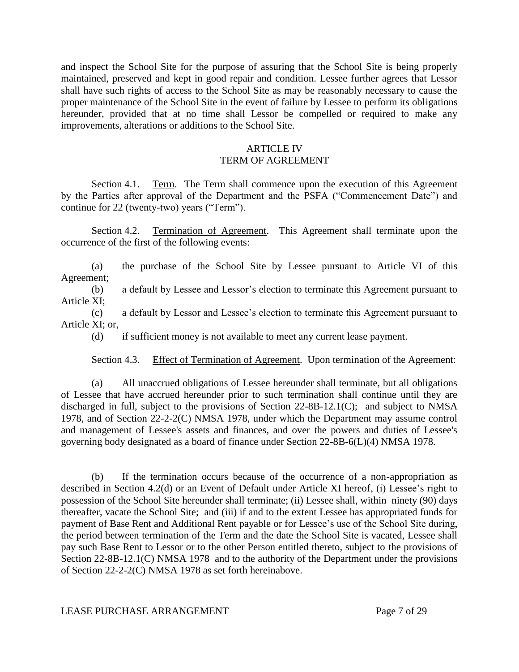and inspect the School Site for the purpose of assuring that the School Site is being properly maintained, preserved and kept in good repair and condition. Lessee further agrees that Lessor shall have such rights of access to the School Site as may be reasonably necessary to cause the proper maintenance of the School Site in the event of failure by Lessee to perform its obligations hereunder, provided that at no time shall Lessor be compelled or required to make any improvements, alterations or additions to the School Site.

# ARTICLE IV

# TERM OF AGREEMENT

Section 4.1. Term. The Term shall commence upon the execution of this Agreement by the Parties after approval of the Department and the PSFA ("Commencement Date") and continue for 22 (twenty-two) years ("Term").

Section 4.2. Termination of Agreement. This Agreement shall terminate upon the occurrence of the first of the following events:

(a) the purchase of the School Site by Lessee pursuant to Article VI of this Agreement;

(b) a default by Lessee and Lessor's election to terminate this Agreement pursuant to Article XI;

(c) a default by Lessor and Lessee's election to terminate this Agreement pursuant to Article XI; or,

(d) if sufficient money is not available to meet any current lease payment.

Section 4.3. Effect of Termination of Agreement. Upon termination of the Agreement:

(a) All unaccrued obligations of Lessee hereunder shall terminate, but all obligations of Lessee that have accrued hereunder prior to such termination shall continue until they are discharged in full, subject to the provisions of Section 22-8B-12.1(C); and subject to NMSA 1978, and of Section 22-2-2(C) NMSA 1978, under which the Department may assume control and management of Lessee's assets and finances, and over the powers and duties of Lessee's governing body designated as a board of finance under Section 22-8B-6(L)(4) NMSA 1978.

(b) If the termination occurs because of the occurrence of a non-appropriation as described in Section 4.2(d) or an Event of Default under Article XI hereof, (i) Lessee's right to possession of the School Site hereunder shall terminate; (ii) Lessee shall, within ninety (90) days thereafter, vacate the School Site; and (iii) if and to the extent Lessee has appropriated funds for payment of Base Rent and Additional Rent payable or for Lessee's use of the School Site during, the period between termination of the Term and the date the School Site is vacated, Lessee shall pay such Base Rent to Lessor or to the other Person entitled thereto, subject to the provisions of Section 22-8B-12.1(C) NMSA 1978 and to the authority of the Department under the provisions of Section 22-2-2(C) NMSA 1978 as set forth hereinabove.

## LEASE PURCHASE ARRANGEMENT Page 7 of 29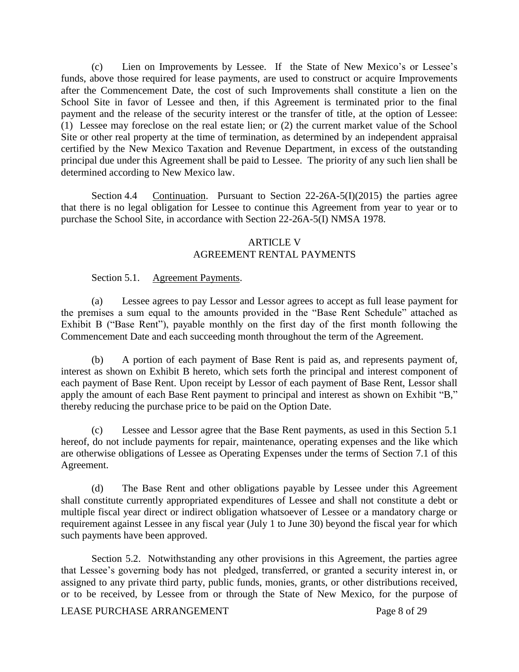(c) Lien on Improvements by Lessee. If the State of New Mexico's or Lessee's funds, above those required for lease payments, are used to construct or acquire Improvements after the Commencement Date, the cost of such Improvements shall constitute a lien on the School Site in favor of Lessee and then, if this Agreement is terminated prior to the final payment and the release of the security interest or the transfer of title, at the option of Lessee: (1) Lessee may foreclose on the real estate lien; or (2) the current market value of the School Site or other real property at the time of termination, as determined by an independent appraisal certified by the New Mexico Taxation and Revenue Department, in excess of the outstanding principal due under this Agreement shall be paid to Lessee. The priority of any such lien shall be determined according to New Mexico law.

Section 4.4 Continuation. Pursuant to Section 22-26A-5(I)(2015) the parties agree that there is no legal obligation for Lessee to continue this Agreement from year to year or to purchase the School Site, in accordance with Section 22-26A-5(I) NMSA 1978.

## ARTICLE V AGREEMENT RENTAL PAYMENTS

## Section 5.1. Agreement Payments.

(a) Lessee agrees to pay Lessor and Lessor agrees to accept as full lease payment for the premises a sum equal to the amounts provided in the "Base Rent Schedule" attached as Exhibit B ("Base Rent"), payable monthly on the first day of the first month following the Commencement Date and each succeeding month throughout the term of the Agreement.

(b) A portion of each payment of Base Rent is paid as, and represents payment of, interest as shown on Exhibit B hereto, which sets forth the principal and interest component of each payment of Base Rent. Upon receipt by Lessor of each payment of Base Rent, Lessor shall apply the amount of each Base Rent payment to principal and interest as shown on Exhibit "B," thereby reducing the purchase price to be paid on the Option Date.

(c) Lessee and Lessor agree that the Base Rent payments, as used in this Section 5.1 hereof, do not include payments for repair, maintenance, operating expenses and the like which are otherwise obligations of Lessee as Operating Expenses under the terms of Section 7.1 of this Agreement.

(d) The Base Rent and other obligations payable by Lessee under this Agreement shall constitute currently appropriated expenditures of Lessee and shall not constitute a debt or multiple fiscal year direct or indirect obligation whatsoever of Lessee or a mandatory charge or requirement against Lessee in any fiscal year (July 1 to June 30) beyond the fiscal year for which such payments have been approved.

Section 5.2. Notwithstanding any other provisions in this Agreement, the parties agree that Lessee's governing body has not pledged, transferred, or granted a security interest in, or assigned to any private third party, public funds, monies, grants, or other distributions received, or to be received, by Lessee from or through the State of New Mexico, for the purpose of

LEASE PURCHASE ARRANGEMENT Page 8 of 29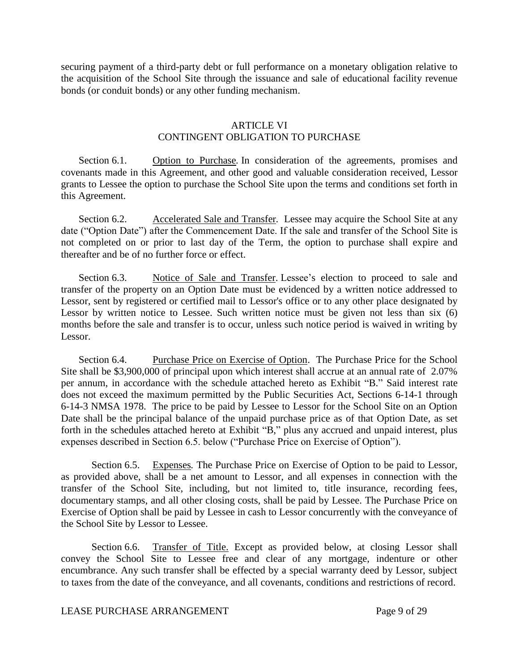securing payment of a third-party debt or full performance on a monetary obligation relative to the acquisition of the School Site through the issuance and sale of educational facility revenue bonds (or conduit bonds) or any other funding mechanism.

# ARTICLE VI CONTINGENT OBLIGATION TO PURCHASE

Section 6.1. Option to Purchase*.* In consideration of the agreements, promises and covenants made in this Agreement, and other good and valuable consideration received, Lessor grants to Lessee the option to purchase the School Site upon the terms and conditions set forth in this Agreement.

Section 6.2. Accelerated Sale and Transfer. Lessee may acquire the School Site at any date ("Option Date") after the Commencement Date. If the sale and transfer of the School Site is not completed on or prior to last day of the Term, the option to purchase shall expire and thereafter and be of no further force or effect.

Section 6.3. Notice of Sale and Transfer. Lessee's election to proceed to sale and transfer of the property on an Option Date must be evidenced by a written notice addressed to Lessor, sent by registered or certified mail to Lessor's office or to any other place designated by Lessor by written notice to Lessee. Such written notice must be given not less than six (6) months before the sale and transfer is to occur, unless such notice period is waived in writing by Lessor.

Section 6.4. Purchase Price on Exercise of Option. The Purchase Price for the School Site shall be \$3,900,000 of principal upon which interest shall accrue at an annual rate of 2.07% per annum, in accordance with the schedule attached hereto as Exhibit "B." Said interest rate does not exceed the maximum permitted by the Public Securities Act, Sections 6-14-1 through 6-14-3 NMSA 1978. The price to be paid by Lessee to Lessor for the School Site on an Option Date shall be the principal balance of the unpaid purchase price as of that Option Date, as set forth in the schedules attached hereto at Exhibit "B," plus any accrued and unpaid interest, plus expenses described in Section 6.5. below ("Purchase Price on Exercise of Option").

Section 6.5. Expenses*.* The Purchase Price on Exercise of Option to be paid to Lessor, as provided above, shall be a net amount to Lessor, and all expenses in connection with the transfer of the School Site, including, but not limited to, title insurance, recording fees, documentary stamps, and all other closing costs, shall be paid by Lessee. The Purchase Price on Exercise of Option shall be paid by Lessee in cash to Lessor concurrently with the conveyance of the School Site by Lessor to Lessee.

Section 6.6. Transfer of Title. Except as provided below, at closing Lessor shall convey the School Site to Lessee free and clear of any mortgage, indenture or other encumbrance. Any such transfer shall be effected by a special warranty deed by Lessor, subject to taxes from the date of the conveyance, and all covenants, conditions and restrictions of record.

#### LEASE PURCHASE ARRANGEMENT Page 9 of 29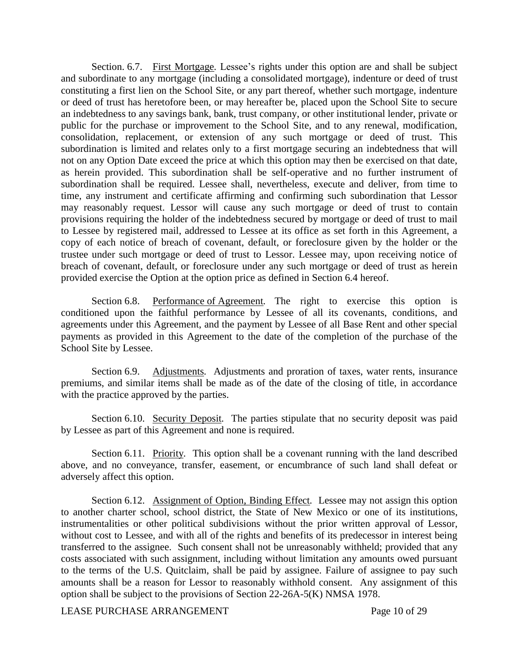Section. 6.7. First Mortgage*.* Lessee's rights under this option are and shall be subject and subordinate to any mortgage (including a consolidated mortgage), indenture or deed of trust constituting a first lien on the School Site, or any part thereof, whether such mortgage, indenture or deed of trust has heretofore been, or may hereafter be, placed upon the School Site to secure an indebtedness to any savings bank, bank, trust company, or other institutional lender, private or public for the purchase or improvement to the School Site, and to any renewal, modification, consolidation, replacement, or extension of any such mortgage or deed of trust. This subordination is limited and relates only to a first mortgage securing an indebtedness that will not on any Option Date exceed the price at which this option may then be exercised on that date, as herein provided. This subordination shall be self-operative and no further instrument of subordination shall be required. Lessee shall, nevertheless, execute and deliver, from time to time, any instrument and certificate affirming and confirming such subordination that Lessor may reasonably request. Lessor will cause any such mortgage or deed of trust to contain provisions requiring the holder of the indebtedness secured by mortgage or deed of trust to mail to Lessee by registered mail, addressed to Lessee at its office as set forth in this Agreement, a copy of each notice of breach of covenant, default, or foreclosure given by the holder or the trustee under such mortgage or deed of trust to Lessor. Lessee may, upon receiving notice of breach of covenant, default, or foreclosure under any such mortgage or deed of trust as herein provided exercise the Option at the option price as defined in Section 6.4 hereof.

Section 6.8. Performance of Agreement*.* The right to exercise this option is conditioned upon the faithful performance by Lessee of all its covenants, conditions, and agreements under this Agreement, and the payment by Lessee of all Base Rent and other special payments as provided in this Agreement to the date of the completion of the purchase of the School Site by Lessee.

Section 6.9. Adjustments. Adjustments and proration of taxes, water rents, insurance premiums, and similar items shall be made as of the date of the closing of title, in accordance with the practice approved by the parties.

Section 6.10. Security Deposit*.* The parties stipulate that no security deposit was paid by Lessee as part of this Agreement and none is required.

Section 6.11. Priority*.* This option shall be a covenant running with the land described above, and no conveyance, transfer, easement, or encumbrance of such land shall defeat or adversely affect this option.

Section 6.12. Assignment of Option, Binding Effect*.* Lessee may not assign this option to another charter school, school district, the State of New Mexico or one of its institutions, instrumentalities or other political subdivisions without the prior written approval of Lessor, without cost to Lessee, and with all of the rights and benefits of its predecessor in interest being transferred to the assignee. Such consent shall not be unreasonably withheld; provided that any costs associated with such assignment, including without limitation any amounts owed pursuant to the terms of the U.S. Quitclaim, shall be paid by assignee. Failure of assignee to pay such amounts shall be a reason for Lessor to reasonably withhold consent. Any assignment of this option shall be subject to the provisions of Section 22-26A-5(K) NMSA 1978.

LEASE PURCHASE ARRANGEMENT Page 10 of 29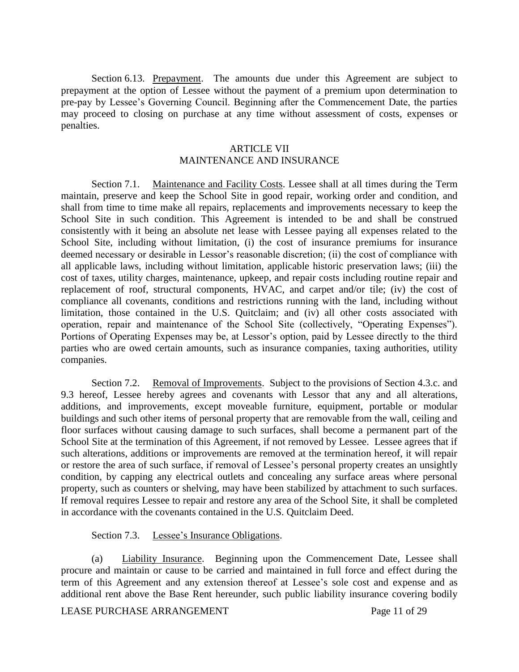Section 6.13. Prepayment. The amounts due under this Agreement are subject to prepayment at the option of Lessee without the payment of a premium upon determination to pre-pay by Lessee's Governing Council. Beginning after the Commencement Date, the parties may proceed to closing on purchase at any time without assessment of costs, expenses or penalties.

#### ARTICLE VII

# MAINTENANCE AND INSURANCE

Section 7.1. Maintenance and Facility Costs. Lessee shall at all times during the Term maintain, preserve and keep the School Site in good repair, working order and condition, and shall from time to time make all repairs, replacements and improvements necessary to keep the School Site in such condition. This Agreement is intended to be and shall be construed consistently with it being an absolute net lease with Lessee paying all expenses related to the School Site, including without limitation, (i) the cost of insurance premiums for insurance deemed necessary or desirable in Lessor's reasonable discretion; (ii) the cost of compliance with all applicable laws, including without limitation, applicable historic preservation laws; (iii) the cost of taxes, utility charges, maintenance, upkeep, and repair costs including routine repair and replacement of roof, structural components, HVAC, and carpet and/or tile; (iv) the cost of compliance all covenants, conditions and restrictions running with the land, including without limitation, those contained in the U.S. Quitclaim; and (iv) all other costs associated with operation, repair and maintenance of the School Site (collectively, "Operating Expenses"). Portions of Operating Expenses may be, at Lessor's option, paid by Lessee directly to the third parties who are owed certain amounts, such as insurance companies, taxing authorities, utility companies.

Section 7.2. Removal of Improvements. Subject to the provisions of Section 4.3.c. and 9.3 hereof, Lessee hereby agrees and covenants with Lessor that any and all alterations, additions, and improvements, except moveable furniture, equipment, portable or modular buildings and such other items of personal property that are removable from the wall, ceiling and floor surfaces without causing damage to such surfaces, shall become a permanent part of the School Site at the termination of this Agreement, if not removed by Lessee. Lessee agrees that if such alterations, additions or improvements are removed at the termination hereof, it will repair or restore the area of such surface, if removal of Lessee's personal property creates an unsightly condition, by capping any electrical outlets and concealing any surface areas where personal property, such as counters or shelving, may have been stabilized by attachment to such surfaces. If removal requires Lessee to repair and restore any area of the School Site, it shall be completed in accordance with the covenants contained in the U.S. Quitclaim Deed.

Section 7.3. Lessee's Insurance Obligations.

(a) Liability Insurance. Beginning upon the Commencement Date, Lessee shall procure and maintain or cause to be carried and maintained in full force and effect during the term of this Agreement and any extension thereof at Lessee's sole cost and expense and as additional rent above the Base Rent hereunder, such public liability insurance covering bodily

LEASE PURCHASE ARRANGEMENT Page 11 of 29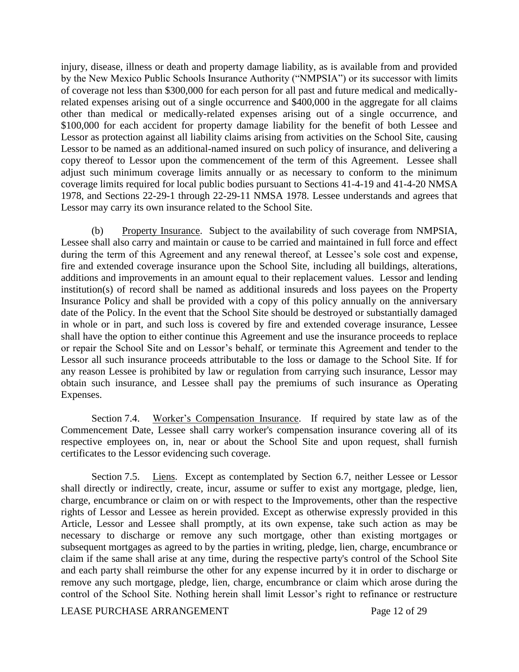injury, disease, illness or death and property damage liability, as is available from and provided by the New Mexico Public Schools Insurance Authority ("NMPSIA") or its successor with limits of coverage not less than \$300,000 for each person for all past and future medical and medicallyrelated expenses arising out of a single occurrence and \$400,000 in the aggregate for all claims other than medical or medically-related expenses arising out of a single occurrence, and \$100,000 for each accident for property damage liability for the benefit of both Lessee and Lessor as protection against all liability claims arising from activities on the School Site, causing Lessor to be named as an additional-named insured on such policy of insurance, and delivering a copy thereof to Lessor upon the commencement of the term of this Agreement. Lessee shall adjust such minimum coverage limits annually or as necessary to conform to the minimum coverage limits required for local public bodies pursuant to Sections 41-4-19 and 41-4-20 NMSA 1978, and Sections 22-29-1 through 22-29-11 NMSA 1978. Lessee understands and agrees that Lessor may carry its own insurance related to the School Site.

(b) Property Insurance. Subject to the availability of such coverage from NMPSIA, Lessee shall also carry and maintain or cause to be carried and maintained in full force and effect during the term of this Agreement and any renewal thereof, at Lessee's sole cost and expense, fire and extended coverage insurance upon the School Site, including all buildings, alterations, additions and improvements in an amount equal to their replacement values. Lessor and lending institution(s) of record shall be named as additional insureds and loss payees on the Property Insurance Policy and shall be provided with a copy of this policy annually on the anniversary date of the Policy. In the event that the School Site should be destroyed or substantially damaged in whole or in part, and such loss is covered by fire and extended coverage insurance, Lessee shall have the option to either continue this Agreement and use the insurance proceeds to replace or repair the School Site and on Lessor's behalf, or terminate this Agreement and tender to the Lessor all such insurance proceeds attributable to the loss or damage to the School Site. If for any reason Lessee is prohibited by law or regulation from carrying such insurance, Lessor may obtain such insurance, and Lessee shall pay the premiums of such insurance as Operating Expenses.

Section 7.4. Worker's Compensation Insurance. If required by state law as of the Commencement Date, Lessee shall carry worker's compensation insurance covering all of its respective employees on, in, near or about the School Site and upon request, shall furnish certificates to the Lessor evidencing such coverage.

Section 7.5. Liens. Except as contemplated by Section 6.7, neither Lessee or Lessor shall directly or indirectly, create, incur, assume or suffer to exist any mortgage, pledge, lien, charge, encumbrance or claim on or with respect to the Improvements, other than the respective rights of Lessor and Lessee as herein provided. Except as otherwise expressly provided in this Article, Lessor and Lessee shall promptly, at its own expense, take such action as may be necessary to discharge or remove any such mortgage, other than existing mortgages or subsequent mortgages as agreed to by the parties in writing, pledge, lien, charge, encumbrance or claim if the same shall arise at any time, during the respective party's control of the School Site and each party shall reimburse the other for any expense incurred by it in order to discharge or remove any such mortgage, pledge, lien, charge, encumbrance or claim which arose during the control of the School Site. Nothing herein shall limit Lessor's right to refinance or restructure

LEASE PURCHASE ARRANGEMENT Page 12 of 29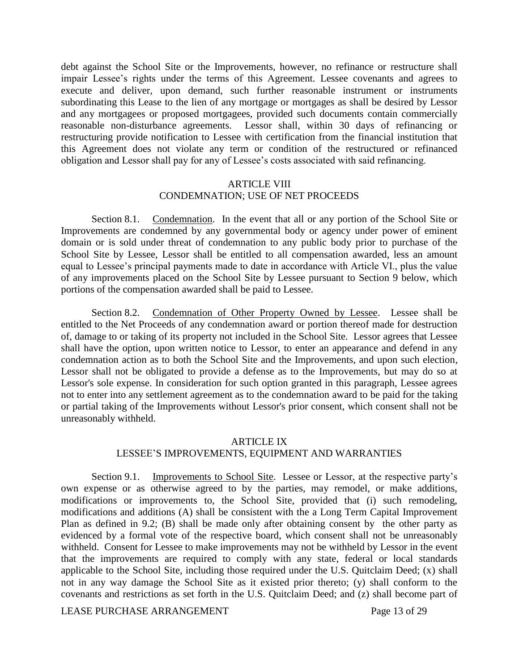debt against the School Site or the Improvements, however, no refinance or restructure shall impair Lessee's rights under the terms of this Agreement. Lessee covenants and agrees to execute and deliver, upon demand, such further reasonable instrument or instruments subordinating this Lease to the lien of any mortgage or mortgages as shall be desired by Lessor and any mortgagees or proposed mortgagees, provided such documents contain commercially reasonable non-disturbance agreements. Lessor shall, within 30 days of refinancing or restructuring provide notification to Lessee with certification from the financial institution that this Agreement does not violate any term or condition of the restructured or refinanced obligation and Lessor shall pay for any of Lessee's costs associated with said refinancing.

### ARTICLE VIII CONDEMNATION; USE OF NET PROCEEDS

Section 8.1. Condemnation. In the event that all or any portion of the School Site or Improvements are condemned by any governmental body or agency under power of eminent domain or is sold under threat of condemnation to any public body prior to purchase of the School Site by Lessee, Lessor shall be entitled to all compensation awarded, less an amount equal to Lessee's principal payments made to date in accordance with Article VI., plus the value of any improvements placed on the School Site by Lessee pursuant to Section 9 below, which portions of the compensation awarded shall be paid to Lessee.

Section 8.2. Condemnation of Other Property Owned by Lessee. Lessee shall be entitled to the Net Proceeds of any condemnation award or portion thereof made for destruction of, damage to or taking of its property not included in the School Site. Lessor agrees that Lessee shall have the option, upon written notice to Lessor, to enter an appearance and defend in any condemnation action as to both the School Site and the Improvements, and upon such election, Lessor shall not be obligated to provide a defense as to the Improvements, but may do so at Lessor's sole expense. In consideration for such option granted in this paragraph, Lessee agrees not to enter into any settlement agreement as to the condemnation award to be paid for the taking or partial taking of the Improvements without Lessor's prior consent, which consent shall not be unreasonably withheld.

# ARTICLE IX LESSEE'S IMPROVEMENTS, EQUIPMENT AND WARRANTIES

Section 9.1. Improvements to School Site. Lessee or Lessor, at the respective party's own expense or as otherwise agreed to by the parties, may remodel, or make additions, modifications or improvements to, the School Site, provided that (i) such remodeling, modifications and additions (A) shall be consistent with the a Long Term Capital Improvement Plan as defined in 9.2; (B) shall be made only after obtaining consent by the other party as evidenced by a formal vote of the respective board, which consent shall not be unreasonably withheld. Consent for Lessee to make improvements may not be withheld by Lessor in the event that the improvements are required to comply with any state, federal or local standards applicable to the School Site, including those required under the U.S. Quitclaim Deed; (x) shall not in any way damage the School Site as it existed prior thereto; (y) shall conform to the covenants and restrictions as set forth in the U.S. Quitclaim Deed; and (z) shall become part of

LEASE PURCHASE ARRANGEMENT Page 13 of 29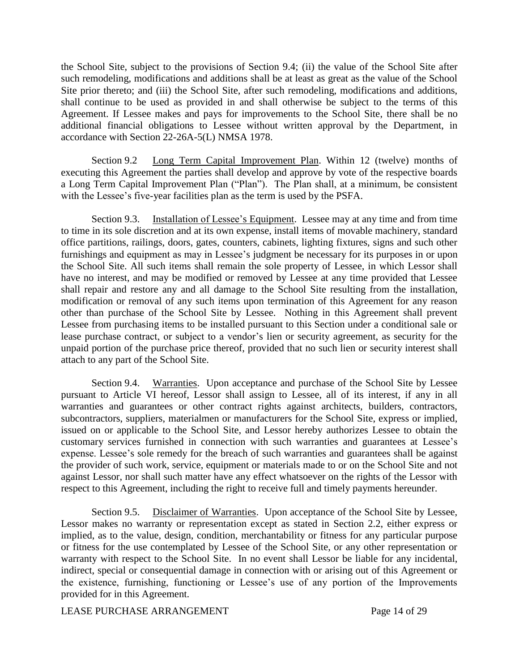the School Site, subject to the provisions of Section 9.4; (ii) the value of the School Site after such remodeling, modifications and additions shall be at least as great as the value of the School Site prior thereto; and (iii) the School Site, after such remodeling, modifications and additions, shall continue to be used as provided in and shall otherwise be subject to the terms of this Agreement. If Lessee makes and pays for improvements to the School Site, there shall be no additional financial obligations to Lessee without written approval by the Department, in accordance with Section 22-26A-5(L) NMSA 1978.

Section 9.2 Long Term Capital Improvement Plan. Within 12 (twelve) months of executing this Agreement the parties shall develop and approve by vote of the respective boards a Long Term Capital Improvement Plan ("Plan"). The Plan shall, at a minimum, be consistent with the Lessee's five-year facilities plan as the term is used by the PSFA.

Section 9.3. Installation of Lessee's Equipment. Lessee may at any time and from time to time in its sole discretion and at its own expense, install items of movable machinery, standard office partitions, railings, doors, gates, counters, cabinets, lighting fixtures, signs and such other furnishings and equipment as may in Lessee's judgment be necessary for its purposes in or upon the School Site. All such items shall remain the sole property of Lessee, in which Lessor shall have no interest, and may be modified or removed by Lessee at any time provided that Lessee shall repair and restore any and all damage to the School Site resulting from the installation, modification or removal of any such items upon termination of this Agreement for any reason other than purchase of the School Site by Lessee. Nothing in this Agreement shall prevent Lessee from purchasing items to be installed pursuant to this Section under a conditional sale or lease purchase contract, or subject to a vendor's lien or security agreement, as security for the unpaid portion of the purchase price thereof, provided that no such lien or security interest shall attach to any part of the School Site.

Section 9.4. Warranties. Upon acceptance and purchase of the School Site by Lessee pursuant to Article VI hereof, Lessor shall assign to Lessee, all of its interest, if any in all warranties and guarantees or other contract rights against architects, builders, contractors, subcontractors, suppliers, materialmen or manufacturers for the School Site, express or implied, issued on or applicable to the School Site, and Lessor hereby authorizes Lessee to obtain the customary services furnished in connection with such warranties and guarantees at Lessee's expense. Lessee's sole remedy for the breach of such warranties and guarantees shall be against the provider of such work, service, equipment or materials made to or on the School Site and not against Lessor, nor shall such matter have any effect whatsoever on the rights of the Lessor with respect to this Agreement, including the right to receive full and timely payments hereunder.

Section 9.5. Disclaimer of Warranties. Upon acceptance of the School Site by Lessee, Lessor makes no warranty or representation except as stated in Section 2.2, either express or implied, as to the value, design, condition, merchantability or fitness for any particular purpose or fitness for the use contemplated by Lessee of the School Site, or any other representation or warranty with respect to the School Site. In no event shall Lessor be liable for any incidental, indirect, special or consequential damage in connection with or arising out of this Agreement or the existence, furnishing, functioning or Lessee's use of any portion of the Improvements provided for in this Agreement.

LEASE PURCHASE ARRANGEMENT Page 14 of 29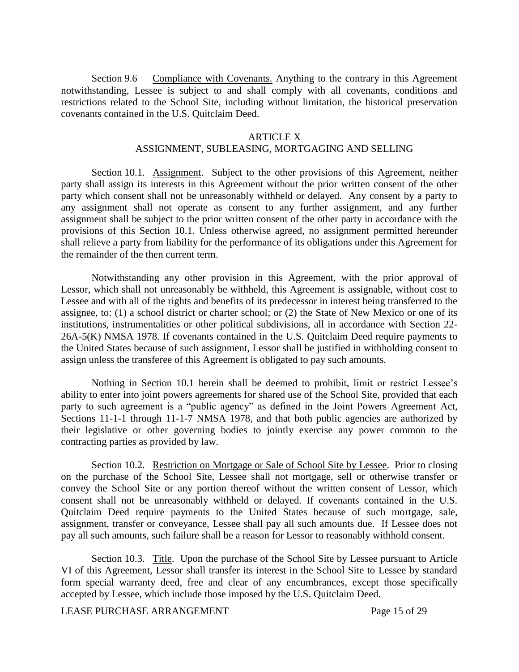Section 9.6 Compliance with Covenants. Anything to the contrary in this Agreement notwithstanding, Lessee is subject to and shall comply with all covenants, conditions and restrictions related to the School Site, including without limitation, the historical preservation covenants contained in the U.S. Quitclaim Deed.

#### ARTICLE X

#### ASSIGNMENT, SUBLEASING, MORTGAGING AND SELLING

Section 10.1. Assignment. Subject to the other provisions of this Agreement, neither party shall assign its interests in this Agreement without the prior written consent of the other party which consent shall not be unreasonably withheld or delayed. Any consent by a party to any assignment shall not operate as consent to any further assignment, and any further assignment shall be subject to the prior written consent of the other party in accordance with the provisions of this Section 10.1. Unless otherwise agreed, no assignment permitted hereunder shall relieve a party from liability for the performance of its obligations under this Agreement for the remainder of the then current term.

Notwithstanding any other provision in this Agreement, with the prior approval of Lessor, which shall not unreasonably be withheld, this Agreement is assignable, without cost to Lessee and with all of the rights and benefits of its predecessor in interest being transferred to the assignee, to: (1) a school district or charter school; or (2) the State of New Mexico or one of its institutions, instrumentalities or other political subdivisions, all in accordance with Section 22- 26A-5(K) NMSA 1978. If covenants contained in the U.S. Quitclaim Deed require payments to the United States because of such assignment, Lessor shall be justified in withholding consent to assign unless the transferee of this Agreement is obligated to pay such amounts.

Nothing in Section 10.1 herein shall be deemed to prohibit, limit or restrict Lessee's ability to enter into joint powers agreements for shared use of the School Site, provided that each party to such agreement is a "public agency" as defined in the Joint Powers Agreement Act, Sections 11-1-1 through 11-1-7 NMSA 1978, and that both public agencies are authorized by their legislative or other governing bodies to jointly exercise any power common to the contracting parties as provided by law.

Section 10.2. Restriction on Mortgage or Sale of School Site by Lessee. Prior to closing on the purchase of the School Site, Lessee shall not mortgage, sell or otherwise transfer or convey the School Site or any portion thereof without the written consent of Lessor, which consent shall not be unreasonably withheld or delayed. If covenants contained in the U.S. Quitclaim Deed require payments to the United States because of such mortgage, sale, assignment, transfer or conveyance, Lessee shall pay all such amounts due. If Lessee does not pay all such amounts, such failure shall be a reason for Lessor to reasonably withhold consent.

Section 10.3. Title. Upon the purchase of the School Site by Lessee pursuant to Article VI of this Agreement, Lessor shall transfer its interest in the School Site to Lessee by standard form special warranty deed, free and clear of any encumbrances, except those specifically accepted by Lessee, which include those imposed by the U.S. Quitclaim Deed.

LEASE PURCHASE ARRANGEMENT Page 15 of 29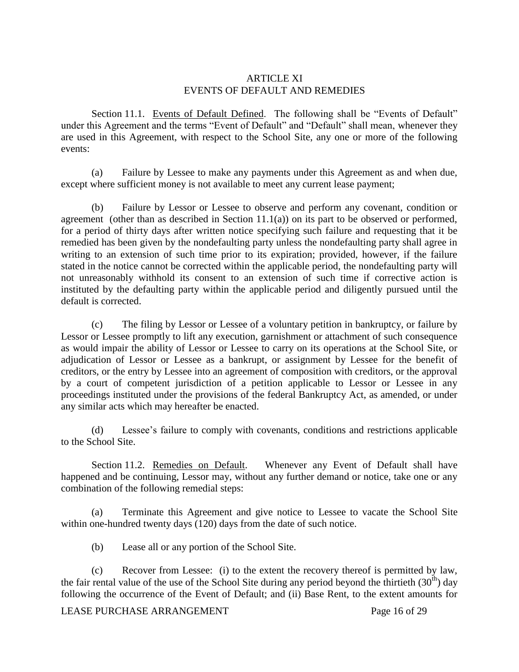# ARTICLE XI EVENTS OF DEFAULT AND REMEDIES

Section 11.1. Events of Default Defined. The following shall be "Events of Default" under this Agreement and the terms "Event of Default" and "Default" shall mean, whenever they are used in this Agreement, with respect to the School Site, any one or more of the following events:

(a) Failure by Lessee to make any payments under this Agreement as and when due, except where sufficient money is not available to meet any current lease payment;

(b) Failure by Lessor or Lessee to observe and perform any covenant, condition or agreement (other than as described in Section 11.1(a)) on its part to be observed or performed, for a period of thirty days after written notice specifying such failure and requesting that it be remedied has been given by the nondefaulting party unless the nondefaulting party shall agree in writing to an extension of such time prior to its expiration; provided, however, if the failure stated in the notice cannot be corrected within the applicable period, the nondefaulting party will not unreasonably withhold its consent to an extension of such time if corrective action is instituted by the defaulting party within the applicable period and diligently pursued until the default is corrected.

(c) The filing by Lessor or Lessee of a voluntary petition in bankruptcy, or failure by Lessor or Lessee promptly to lift any execution, garnishment or attachment of such consequence as would impair the ability of Lessor or Lessee to carry on its operations at the School Site, or adjudication of Lessor or Lessee as a bankrupt, or assignment by Lessee for the benefit of creditors, or the entry by Lessee into an agreement of composition with creditors, or the approval by a court of competent jurisdiction of a petition applicable to Lessor or Lessee in any proceedings instituted under the provisions of the federal Bankruptcy Act, as amended, or under any similar acts which may hereafter be enacted.

(d) Lessee's failure to comply with covenants, conditions and restrictions applicable to the School Site.

Section 11.2. Remedies on Default. Whenever any Event of Default shall have happened and be continuing, Lessor may, without any further demand or notice, take one or any combination of the following remedial steps:

(a) Terminate this Agreement and give notice to Lessee to vacate the School Site within one-hundred twenty days (120) days from the date of such notice.

(b) Lease all or any portion of the School Site.

(c) Recover from Lessee: (i) to the extent the recovery thereof is permitted by law, the fair rental value of the use of the School Site during any period beyond the thirtieth  $(30<sup>th</sup>)$  day following the occurrence of the Event of Default; and (ii) Base Rent, to the extent amounts for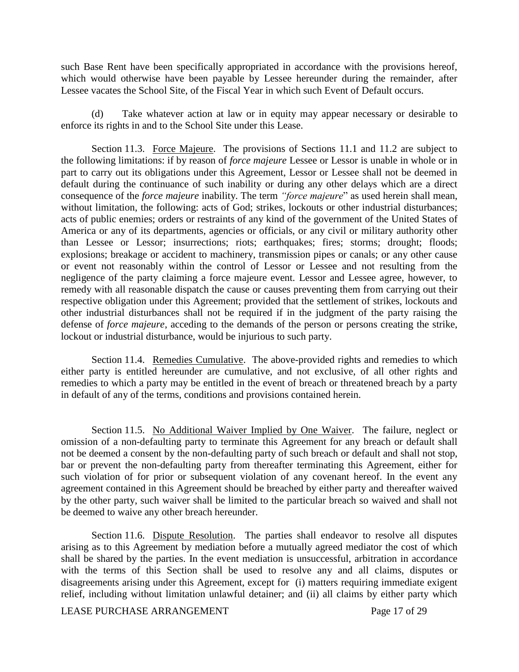such Base Rent have been specifically appropriated in accordance with the provisions hereof, which would otherwise have been payable by Lessee hereunder during the remainder, after Lessee vacates the School Site, of the Fiscal Year in which such Event of Default occurs.

(d) Take whatever action at law or in equity may appear necessary or desirable to enforce its rights in and to the School Site under this Lease.

Section 11.3. Force Majeure. The provisions of Sections 11.1 and 11.2 are subject to the following limitations: if by reason of *force majeure* Lessee or Lessor is unable in whole or in part to carry out its obligations under this Agreement, Lessor or Lessee shall not be deemed in default during the continuance of such inability or during any other delays which are a direct consequence of the *force majeure* inability. The term *"force majeure*" as used herein shall mean, without limitation, the following: acts of God; strikes, lockouts or other industrial disturbances; acts of public enemies; orders or restraints of any kind of the government of the United States of America or any of its departments, agencies or officials, or any civil or military authority other than Lessee or Lessor; insurrections; riots; earthquakes; fires; storms; drought; floods; explosions; breakage or accident to machinery, transmission pipes or canals; or any other cause or event not reasonably within the control of Lessor or Lessee and not resulting from the negligence of the party claiming a force majeure event. Lessor and Lessee agree, however, to remedy with all reasonable dispatch the cause or causes preventing them from carrying out their respective obligation under this Agreement; provided that the settlement of strikes, lockouts and other industrial disturbances shall not be required if in the judgment of the party raising the defense of *force majeure*, acceding to the demands of the person or persons creating the strike, lockout or industrial disturbance, would be injurious to such party.

Section 11.4. Remedies Cumulative. The above-provided rights and remedies to which either party is entitled hereunder are cumulative, and not exclusive, of all other rights and remedies to which a party may be entitled in the event of breach or threatened breach by a party in default of any of the terms, conditions and provisions contained herein.

Section 11.5. No Additional Waiver Implied by One Waiver. The failure, neglect or omission of a non-defaulting party to terminate this Agreement for any breach or default shall not be deemed a consent by the non-defaulting party of such breach or default and shall not stop, bar or prevent the non-defaulting party from thereafter terminating this Agreement, either for such violation of for prior or subsequent violation of any covenant hereof. In the event any agreement contained in this Agreement should be breached by either party and thereafter waived by the other party, such waiver shall be limited to the particular breach so waived and shall not be deemed to waive any other breach hereunder.

Section 11.6. Dispute Resolution. The parties shall endeavor to resolve all disputes arising as to this Agreement by mediation before a mutually agreed mediator the cost of which shall be shared by the parties. In the event mediation is unsuccessful, arbitration in accordance with the terms of this Section shall be used to resolve any and all claims, disputes or disagreements arising under this Agreement, except for (i) matters requiring immediate exigent relief, including without limitation unlawful detainer; and (ii) all claims by either party which

LEASE PURCHASE ARRANGEMENT Page 17 of 29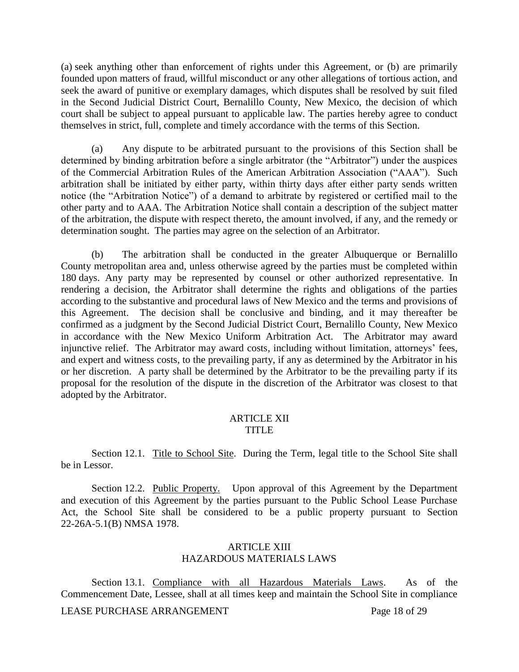(a) seek anything other than enforcement of rights under this Agreement, or (b) are primarily founded upon matters of fraud, willful misconduct or any other allegations of tortious action, and seek the award of punitive or exemplary damages, which disputes shall be resolved by suit filed in the Second Judicial District Court, Bernalillo County, New Mexico, the decision of which court shall be subject to appeal pursuant to applicable law. The parties hereby agree to conduct themselves in strict, full, complete and timely accordance with the terms of this Section.

(a) Any dispute to be arbitrated pursuant to the provisions of this Section shall be determined by binding arbitration before a single arbitrator (the "Arbitrator") under the auspices of the Commercial Arbitration Rules of the American Arbitration Association ("AAA"). Such arbitration shall be initiated by either party, within thirty days after either party sends written notice (the "Arbitration Notice") of a demand to arbitrate by registered or certified mail to the other party and to AAA. The Arbitration Notice shall contain a description of the subject matter of the arbitration, the dispute with respect thereto, the amount involved, if any, and the remedy or determination sought. The parties may agree on the selection of an Arbitrator.

(b) The arbitration shall be conducted in the greater Albuquerque or Bernalillo County metropolitan area and, unless otherwise agreed by the parties must be completed within 180 days. Any party may be represented by counsel or other authorized representative. In rendering a decision, the Arbitrator shall determine the rights and obligations of the parties according to the substantive and procedural laws of New Mexico and the terms and provisions of this Agreement. The decision shall be conclusive and binding, and it may thereafter be confirmed as a judgment by the Second Judicial District Court, Bernalillo County, New Mexico in accordance with the New Mexico Uniform Arbitration Act. The Arbitrator may award injunctive relief. The Arbitrator may award costs, including without limitation, attorneys' fees, and expert and witness costs, to the prevailing party, if any as determined by the Arbitrator in his or her discretion. A party shall be determined by the Arbitrator to be the prevailing party if its proposal for the resolution of the dispute in the discretion of the Arbitrator was closest to that adopted by the Arbitrator.

### ARTICLE XII TITLE

Section 12.1. Title to School Site. During the Term, legal title to the School Site shall be in Lessor.

Section 12.2. Public Property. Upon approval of this Agreement by the Department and execution of this Agreement by the parties pursuant to the Public School Lease Purchase Act, the School Site shall be considered to be a public property pursuant to Section 22-26A-5.1(B) NMSA 1978.

#### ARTICLE XIII HAZARDOUS MATERIALS LAWS

Section 13.1. Compliance with all Hazardous Materials Laws. As of the Commencement Date, Lessee, shall at all times keep and maintain the School Site in compliance

LEASE PURCHASE ARRANGEMENT Page 18 of 29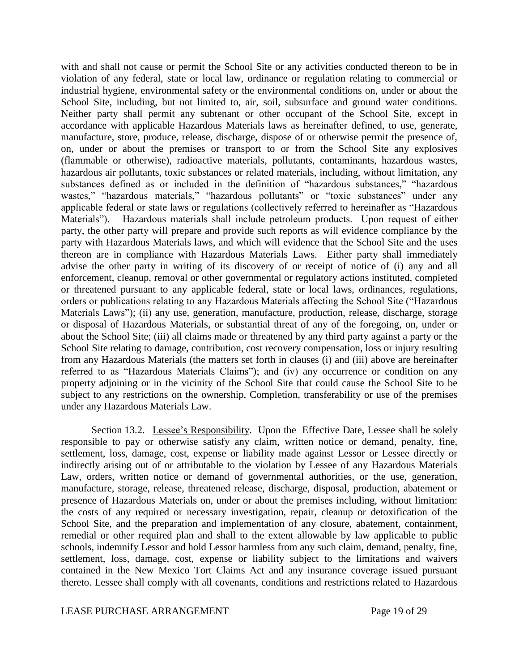with and shall not cause or permit the School Site or any activities conducted thereon to be in violation of any federal, state or local law, ordinance or regulation relating to commercial or industrial hygiene, environmental safety or the environmental conditions on, under or about the School Site, including, but not limited to, air, soil, subsurface and ground water conditions. Neither party shall permit any subtenant or other occupant of the School Site, except in accordance with applicable Hazardous Materials laws as hereinafter defined, to use, generate, manufacture, store, produce, release, discharge, dispose of or otherwise permit the presence of, on, under or about the premises or transport to or from the School Site any explosives (flammable or otherwise), radioactive materials, pollutants, contaminants, hazardous wastes, hazardous air pollutants, toxic substances or related materials, including, without limitation, any substances defined as or included in the definition of "hazardous substances," "hazardous wastes," "hazardous materials," "hazardous pollutants" or "toxic substances" under any applicable federal or state laws or regulations (collectively referred to hereinafter as "Hazardous Materials"). Hazardous materials shall include petroleum products. Upon request of either party, the other party will prepare and provide such reports as will evidence compliance by the party with Hazardous Materials laws, and which will evidence that the School Site and the uses thereon are in compliance with Hazardous Materials Laws. Either party shall immediately advise the other party in writing of its discovery of or receipt of notice of (i) any and all enforcement, cleanup, removal or other governmental or regulatory actions instituted, completed or threatened pursuant to any applicable federal, state or local laws, ordinances, regulations, orders or publications relating to any Hazardous Materials affecting the School Site ("Hazardous Materials Laws"); (ii) any use, generation, manufacture, production, release, discharge, storage or disposal of Hazardous Materials, or substantial threat of any of the foregoing, on, under or about the School Site; (iii) all claims made or threatened by any third party against a party or the School Site relating to damage, contribution, cost recovery compensation, loss or injury resulting from any Hazardous Materials (the matters set forth in clauses (i) and (iii) above are hereinafter referred to as "Hazardous Materials Claims"); and (iv) any occurrence or condition on any property adjoining or in the vicinity of the School Site that could cause the School Site to be subject to any restrictions on the ownership, Completion, transferability or use of the premises under any Hazardous Materials Law.

Section 13.2. Lessee's Responsibility. Upon the Effective Date, Lessee shall be solely responsible to pay or otherwise satisfy any claim, written notice or demand, penalty, fine, settlement, loss, damage, cost, expense or liability made against Lessor or Lessee directly or indirectly arising out of or attributable to the violation by Lessee of any Hazardous Materials Law, orders, written notice or demand of governmental authorities, or the use, generation, manufacture, storage, release, threatened release, discharge, disposal, production, abatement or presence of Hazardous Materials on, under or about the premises including, without limitation: the costs of any required or necessary investigation, repair, cleanup or detoxification of the School Site, and the preparation and implementation of any closure, abatement, containment, remedial or other required plan and shall to the extent allowable by law applicable to public schools, indemnify Lessor and hold Lessor harmless from any such claim, demand, penalty, fine, settlement, loss, damage, cost, expense or liability subject to the limitations and waivers contained in the New Mexico Tort Claims Act and any insurance coverage issued pursuant thereto. Lessee shall comply with all covenants, conditions and restrictions related to Hazardous

LEASE PURCHASE ARRANGEMENT Page 19 of 29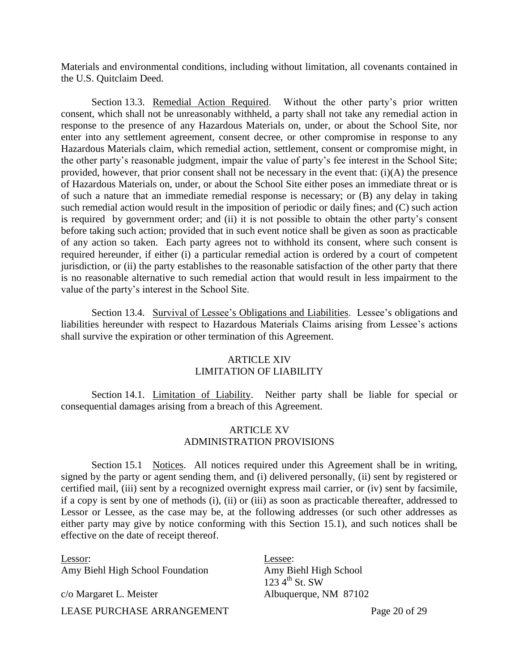Materials and environmental conditions, including without limitation, all covenants contained in the U.S. Quitclaim Deed.

Section 13.3. Remedial Action Required. Without the other party's prior written consent, which shall not be unreasonably withheld, a party shall not take any remedial action in response to the presence of any Hazardous Materials on, under, or about the School Site, nor enter into any settlement agreement, consent decree, or other compromise in response to any Hazardous Materials claim, which remedial action, settlement, consent or compromise might, in the other party's reasonable judgment, impair the value of party's fee interest in the School Site; provided, however, that prior consent shall not be necessary in the event that: (i)(A) the presence of Hazardous Materials on, under, or about the School Site either poses an immediate threat or is of such a nature that an immediate remedial response is necessary; or (B) any delay in taking such remedial action would result in the imposition of periodic or daily fines; and (C) such action is required by government order; and (ii) it is not possible to obtain the other party's consent before taking such action; provided that in such event notice shall be given as soon as practicable of any action so taken. Each party agrees not to withhold its consent, where such consent is required hereunder, if either (i) a particular remedial action is ordered by a court of competent jurisdiction, or (ii) the party establishes to the reasonable satisfaction of the other party that there is no reasonable alternative to such remedial action that would result in less impairment to the value of the party's interest in the School Site.

Section 13.4. Survival of Lessee's Obligations and Liabilities. Lessee's obligations and liabilities hereunder with respect to Hazardous Materials Claims arising from Lessee's actions shall survive the expiration or other termination of this Agreement.

# ARTICLE XIV LIMITATION OF LIABILITY

Section 14.1. Limitation of Liability. Neither party shall be liable for special or consequential damages arising from a breach of this Agreement.

## ARTICLE XV ADMINISTRATION PROVISIONS

Section 15.1 Notices. All notices required under this Agreement shall be in writing, signed by the party or agent sending them, and (i) delivered personally, (ii) sent by registered or certified mail, (iii) sent by a recognized overnight express mail carrier, or (iv) sent by facsimile, if a copy is sent by one of methods (i), (ii) or (iii) as soon as practicable thereafter, addressed to Lessor or Lessee, as the case may be, at the following addresses (or such other addresses as either party may give by notice conforming with this Section 15.1), and such notices shall be effective on the date of receipt thereof.

LEASE PURCHASE ARRANGEMENT Page 20 of 29 Lessor: Amy Biehl High School Foundation c/o Margaret L. Meister Lessee: Amy Biehl High School  $123\,4^{\text{th}}$  St. SW Albuquerque, NM 87102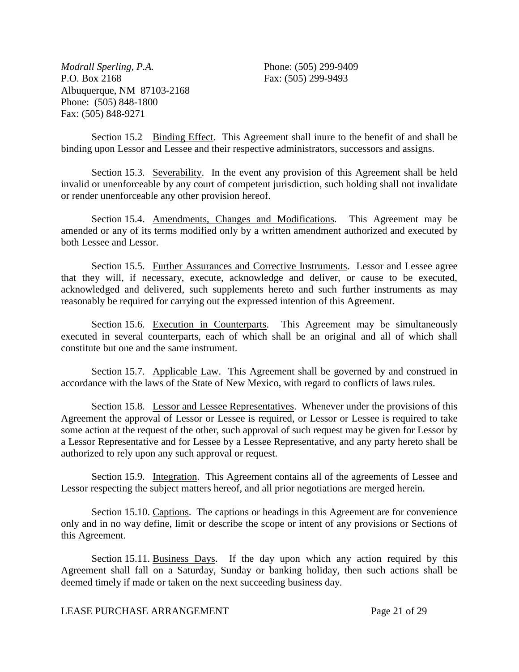*Modrall Sperling, P.A.*  P.O. Box 2168 Albuquerque, NM 87103-2168 Phone: (505) 848-1800 Fax: (505) 848-9271

Phone: (505) 299-9409 Fax: (505) 299-9493

Section 15.2 Binding Effect. This Agreement shall inure to the benefit of and shall be binding upon Lessor and Lessee and their respective administrators, successors and assigns.

Section 15.3. Severability. In the event any provision of this Agreement shall be held invalid or unenforceable by any court of competent jurisdiction, such holding shall not invalidate or render unenforceable any other provision hereof.

Section 15.4. Amendments, Changes and Modifications. This Agreement may be amended or any of its terms modified only by a written amendment authorized and executed by both Lessee and Lessor.

Section 15.5. Further Assurances and Corrective Instruments. Lessor and Lessee agree that they will, if necessary, execute, acknowledge and deliver, or cause to be executed, acknowledged and delivered, such supplements hereto and such further instruments as may reasonably be required for carrying out the expressed intention of this Agreement.

Section 15.6. Execution in Counterparts. This Agreement may be simultaneously executed in several counterparts, each of which shall be an original and all of which shall constitute but one and the same instrument.

Section 15.7. Applicable Law. This Agreement shall be governed by and construed in accordance with the laws of the State of New Mexico, with regard to conflicts of laws rules.

Section 15.8. Lessor and Lessee Representatives. Whenever under the provisions of this Agreement the approval of Lessor or Lessee is required, or Lessor or Lessee is required to take some action at the request of the other, such approval of such request may be given for Lessor by a Lessor Representative and for Lessee by a Lessee Representative, and any party hereto shall be authorized to rely upon any such approval or request.

Section 15.9. Integration. This Agreement contains all of the agreements of Lessee and Lessor respecting the subject matters hereof, and all prior negotiations are merged herein.

Section 15.10. Captions. The captions or headings in this Agreement are for convenience only and in no way define, limit or describe the scope or intent of any provisions or Sections of this Agreement.

Section 15.11. Business Days. If the day upon which any action required by this Agreement shall fall on a Saturday, Sunday or banking holiday, then such actions shall be deemed timely if made or taken on the next succeeding business day.

# LEASE PURCHASE ARRANGEMENT Page 21 of 29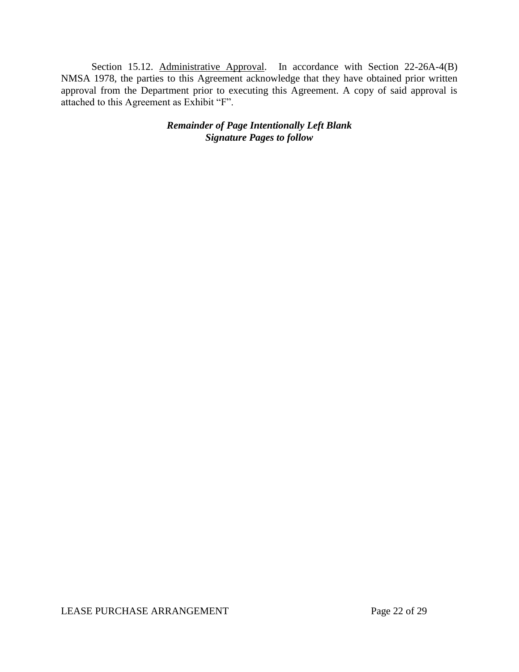Section 15.12. Administrative Approval. In accordance with Section 22-26A-4(B) NMSA 1978, the parties to this Agreement acknowledge that they have obtained prior written approval from the Department prior to executing this Agreement. A copy of said approval is attached to this Agreement as Exhibit "F".

> *Remainder of Page Intentionally Left Blank Signature Pages to follow*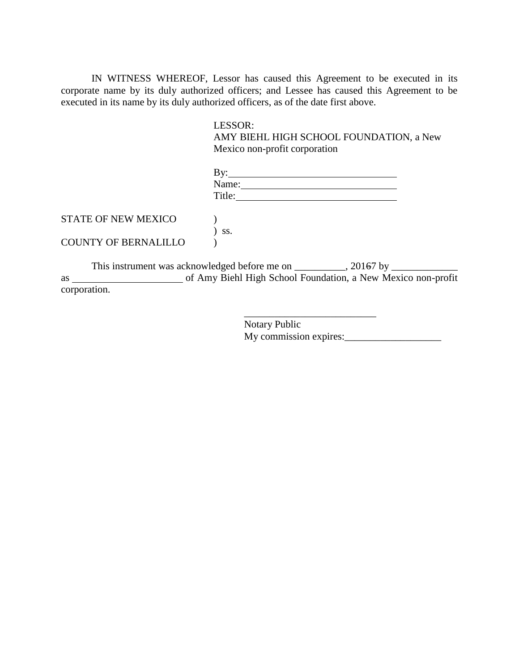IN WITNESS WHEREOF, Lessor has caused this Agreement to be executed in its corporate name by its duly authorized officers; and Lessee has caused this Agreement to be executed in its name by its duly authorized officers, as of the date first above.

#### LESSOR:

AMY BIEHL HIGH SCHOOL FOUNDATION, a New Mexico non-profit corporation

|                             | Name:<br>Title: |  |
|-----------------------------|-----------------|--|
| <b>STATE OF NEW MEXICO</b>  |                 |  |
| <b>COUNTY OF BERNALILLO</b> | SS.             |  |

This instrument was acknowledged before me on \_\_\_\_\_\_\_\_, 20167 by \_\_\_\_\_\_\_\_\_\_\_\_\_\_\_\_ as of Amy Biehl High School Foundation, a New Mexico non-profit corporation.

> \_\_\_\_\_\_\_\_\_\_\_\_\_\_\_\_\_\_\_\_\_\_\_\_\_\_ Notary Public My commission expires: